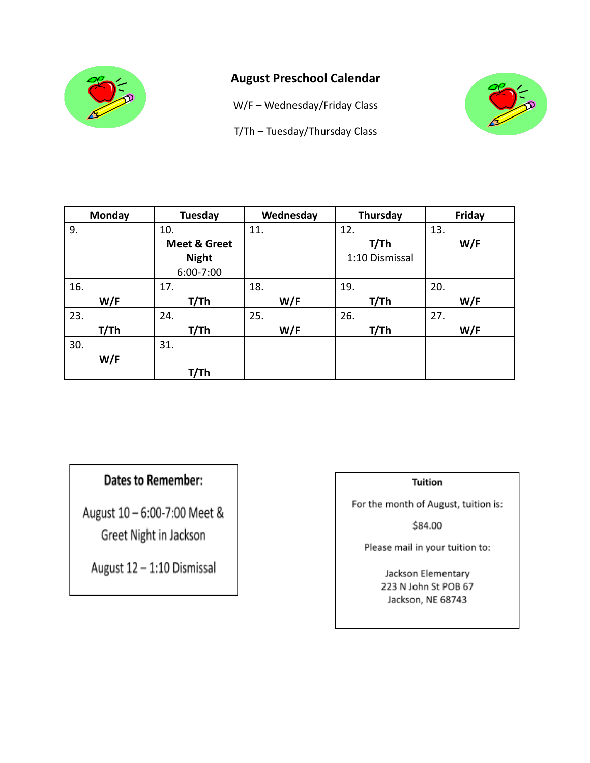

## **August Preschool Calendar**

W/F – Wednesday/Friday Class

T/Th – Tuesday/Thursday Class



| <b>Monday</b> | Tuesday                 | Wednesday | Thursday       | Friday |
|---------------|-------------------------|-----------|----------------|--------|
| 9.            | 10.                     | 11.       | 12.            | 13.    |
|               | <b>Meet &amp; Greet</b> |           | T/Th           | W/F    |
|               | <b>Night</b>            |           | 1:10 Dismissal |        |
|               | 6:00-7:00               |           |                |        |
| 16.           | 17.                     | 18.       | 19.            | 20.    |
| W/F           | T/Th                    | W/F       | T/Th           | W/F    |
| 23.           | 24.                     | 25.       | 26.            | 27.    |
| T/Th          | T/Th                    | W/F       | T/Th           | W/F    |
| 30.           | 31.                     |           |                |        |
| W/F           |                         |           |                |        |
|               | T/Th                    |           |                |        |

# **Dates to Remember:**

August 10 - 6:00-7:00 Meet & Greet Night in Jackson

August 12 - 1:10 Dismissal

### **Tuition**

For the month of August, tuition is:

\$84.00

Please mail in your tuition to: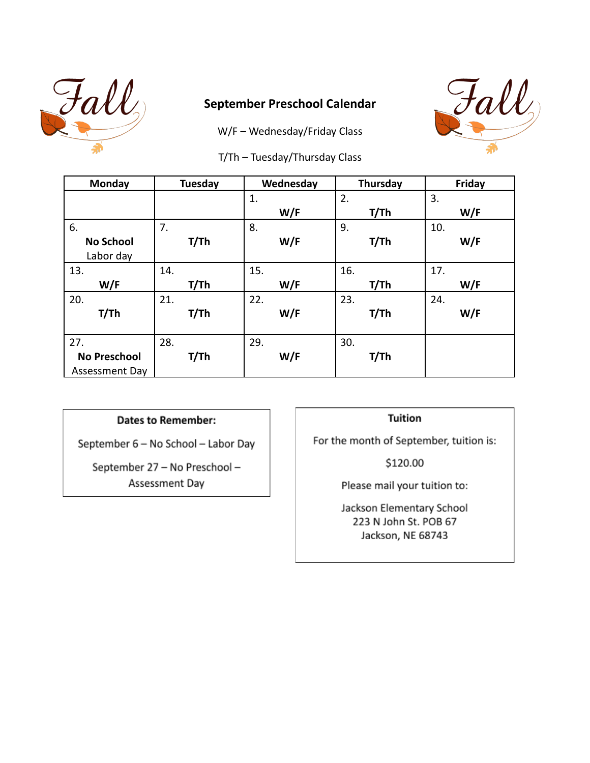

## **September Preschool Calendar**

W/F – Wednesday/Friday Class



T/Th – Tuesday/Thursday Class

| Monday              | Tuesday | Wednesday | Thursday | Friday |
|---------------------|---------|-----------|----------|--------|
|                     |         | 1.        | 2.       | 3.     |
|                     |         | W/F       | T/Th     | W/F    |
| 6.                  | 7.      | 8.        | 9.       | 10.    |
| <b>No School</b>    | T/Th    | W/F       | T/Th     | W/F    |
| Labor day           |         |           |          |        |
| 13.                 | 14.     | 15.       | 16.      | 17.    |
| W/F                 | T/Th    | W/F       | T/Th     | W/F    |
| 20.                 | 21.     | 22.       | 23.      | 24.    |
| T/Th                | T/Th    | W/F       | T/Th     | W/F    |
|                     |         |           |          |        |
| 27.                 | 28.     | 29.       | 30.      |        |
| <b>No Preschool</b> | T/Th    | W/F       | T/Th     |        |
| Assessment Day      |         |           |          |        |

### **Dates to Remember:**

September 6 - No School - Labor Day

September 27 - No Preschool -Assessment Day

#### **Tuition**

For the month of September, tuition is:

\$120.00

Please mail your tuition to: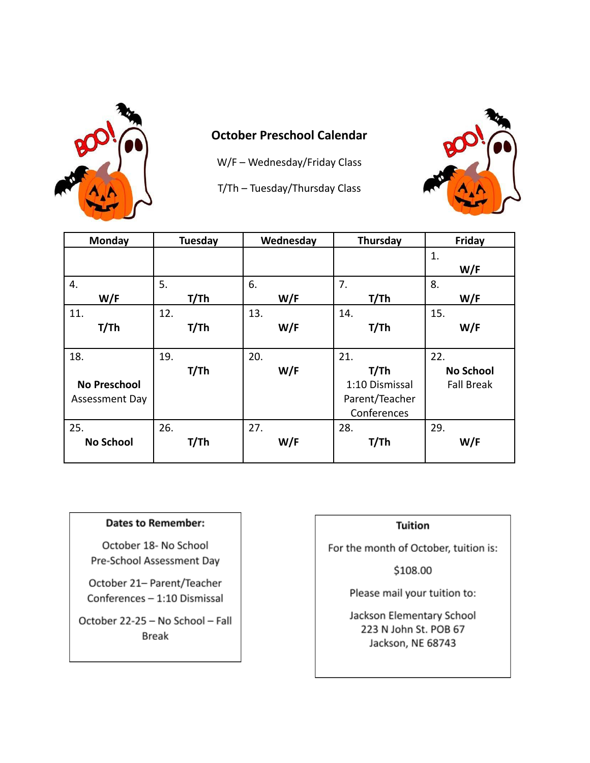

# **October Preschool Calendar**

W/F – Wednesday/Friday Class

T/Th – Tuesday/Thursday Class



| Monday              | <b>Tuesday</b> | Wednesday | Thursday       | Friday            |
|---------------------|----------------|-----------|----------------|-------------------|
|                     |                |           |                | 1.                |
|                     |                |           |                | W/F               |
| 4.                  | 5.             | 6.        | 7.             | 8.                |
| W/F                 | T/Th           | W/F       | T/Th           | W/F               |
| 11.                 | 12.            | 13.       | 14.            | 15.               |
| T/Th                | T/Th           | W/F       | T/Th           | W/F               |
|                     |                |           |                |                   |
| 18.                 | 19.            | 20.       | 21.            | 22.               |
|                     | T/Th           | W/F       | T/Th           | <b>No School</b>  |
| <b>No Preschool</b> |                |           | 1:10 Dismissal | <b>Fall Break</b> |
| Assessment Day      |                |           | Parent/Teacher |                   |
|                     |                |           | Conferences    |                   |
| 25.                 | 26.            | 27.       | 28.            | 29.               |
| <b>No School</b>    | T/Th           | W/F       | T/Th           | W/F               |
|                     |                |           |                |                   |

### **Dates to Remember:**

October 18- No School Pre-School Assessment Day

October 21- Parent/Teacher Conferences - 1:10 Dismissal

October 22-25 - No School - Fall Break

## **Tuition**

For the month of October, tuition is:

\$108.00

Please mail your tuition to: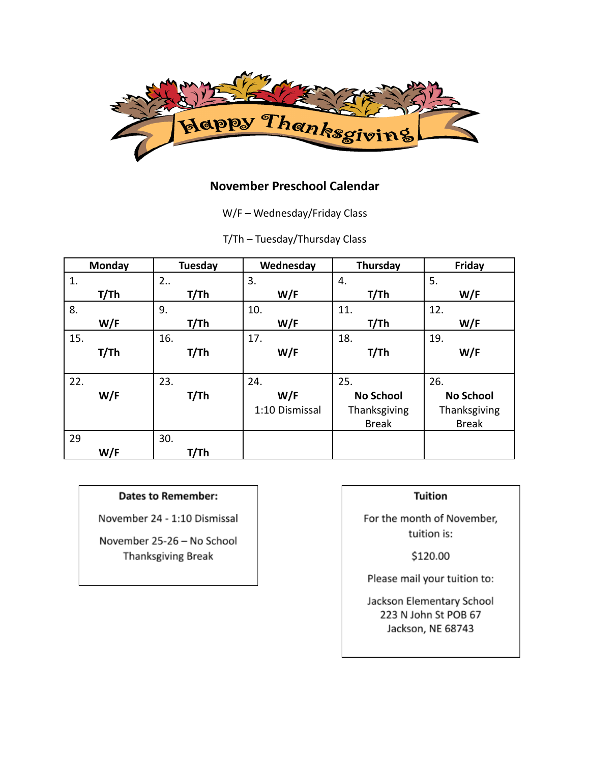

## **November Preschool Calendar**

W/F – Wednesday/Friday Class

T/Th – Tuesday/Thursday Class

| Monday | Tuesday | Wednesday      | Thursday         | Friday           |
|--------|---------|----------------|------------------|------------------|
| 1.     | 2       | 3.             | 4.               | 5.               |
| T/Th   | T/Th    | W/F            | T/Th             | W/F              |
| 8.     | 9.      | 10.            | 11.              | 12.              |
| W/F    | T/Th    | W/F            | T/Th             | W/F              |
| 15.    | 16.     | 17.            | 18.              | 19.              |
| T/Th   | T/Th    | W/F            | T/Th             | W/F              |
|        |         |                |                  |                  |
| 22.    | 23.     | 24.            | 25.              | 26.              |
| W/F    | T/Th    | W/F            | <b>No School</b> | <b>No School</b> |
|        |         | 1:10 Dismissal | Thanksgiving     | Thanksgiving     |
|        |         |                | <b>Break</b>     | <b>Break</b>     |
| 29     | 30.     |                |                  |                  |
| W/F    | T/Th    |                |                  |                  |

### **Dates to Remember:**

November 24 - 1:10 Dismissal

November 25-26 - No School Thanksgiving Break

### **Tuition**

For the month of November, tuition is:

\$120.00

Please mail your tuition to: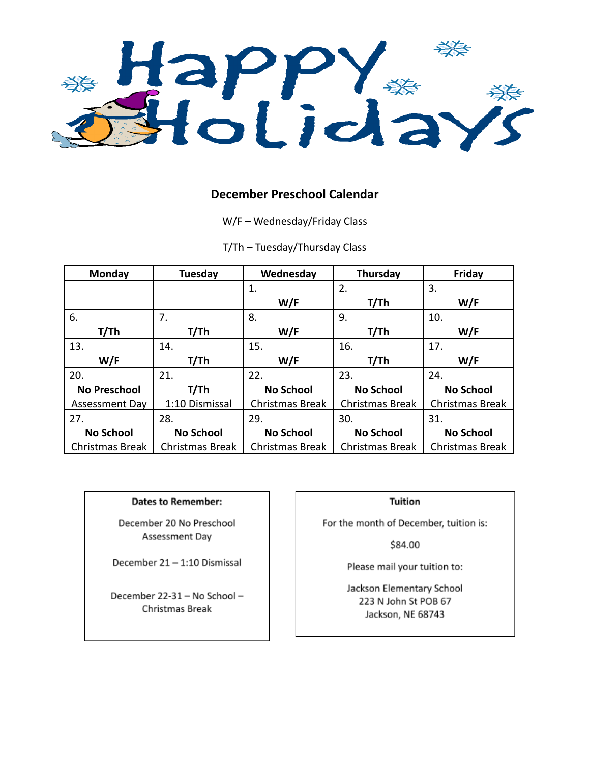

### **December Preschool Calendar**

W/F – Wednesday/Friday Class

T/Th – Tuesday/Thursday Class

| Monday              | <b>Tuesday</b>   | Wednesday              | <b>Thursday</b>        | Friday           |
|---------------------|------------------|------------------------|------------------------|------------------|
|                     |                  | 1.                     | 2.                     | 3.               |
|                     |                  | W/F                    | T/Th                   | W/F              |
| 6.                  | 7.               | 8.                     | 9.                     | 10.              |
| T/Th                | T/Th             | W/F                    | T/Th                   | W/F              |
| 13.                 | 14.              | 15.                    | 16.                    | 17.              |
| W/F                 | T/Th             | W/F                    | T/Th                   | W/F              |
| 20.                 | 21.              | 22.                    | 23.                    | 24.              |
| <b>No Preschool</b> | T/Th             | <b>No School</b>       | <b>No School</b>       | <b>No School</b> |
| Assessment Day      | 1:10 Dismissal   | <b>Christmas Break</b> | <b>Christmas Break</b> | Christmas Break  |
| 27.                 | 28.              | 29.                    | 30.                    | 31.              |
| <b>No School</b>    | <b>No School</b> | <b>No School</b>       | <b>No School</b>       | <b>No School</b> |
| Christmas Break     | Christmas Break  | Christmas Break        | <b>Christmas Break</b> | Christmas Break  |

#### **Dates to Remember:**

December 20 No Preschool Assessment Day

December 21-1:10 Dismissal

December 22-31 - No School -Christmas Break

#### **Tuition**

For the month of December, tuition is:

\$84.00

Please mail your tuition to: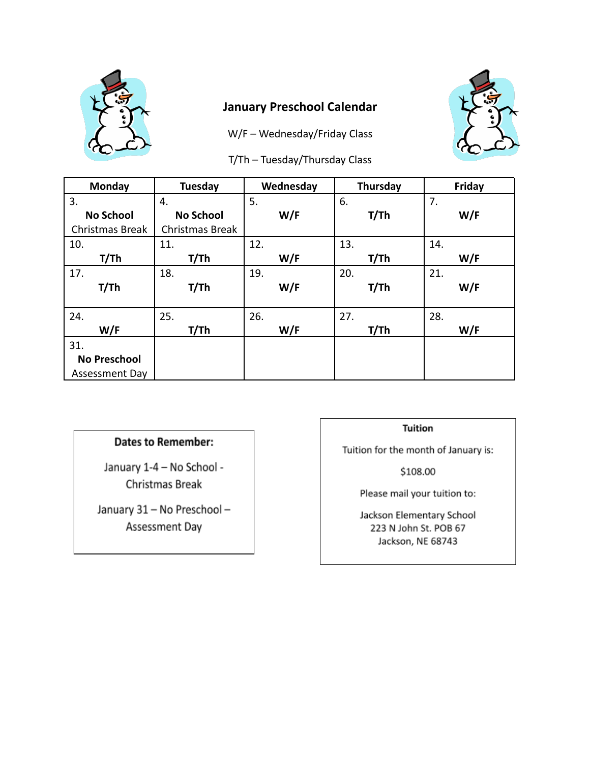

## **January Preschool Calendar**

W/F – Wednesday/Friday Class



T/Th – Tuesday/Thursday Class

| Monday                | <b>Tuesday</b>   | Wednesday | Thursday | Friday |
|-----------------------|------------------|-----------|----------|--------|
| 3.                    | 4.               | 5.        | 6.       | 7.     |
| <b>No School</b>      | <b>No School</b> | W/F       | T/Th     | W/F    |
| Christmas Break       | Christmas Break  |           |          |        |
| 10.                   | 11.              | 12.       | 13.      | 14.    |
| T/Th                  | T/Th             | W/F       | T/Th     | W/F    |
| 17.                   | 18.              | 19.       | 20.      | 21.    |
| T/Th                  | T/Th             | W/F       | T/Th     | W/F    |
|                       |                  |           |          |        |
| 24.                   | 25.              | 26.       | 27.      | 28.    |
| W/F                   | T/Th             | W/F       | T/Th     | W/F    |
| 31.                   |                  |           |          |        |
| <b>No Preschool</b>   |                  |           |          |        |
| <b>Assessment Day</b> |                  |           |          |        |

## **Dates to Remember:**

January 1-4 - No School -Christmas Break

January 31 - No Preschool -Assessment Day

#### **Tuition**

Tuition for the month of January is:

\$108.00

Please mail your tuition to: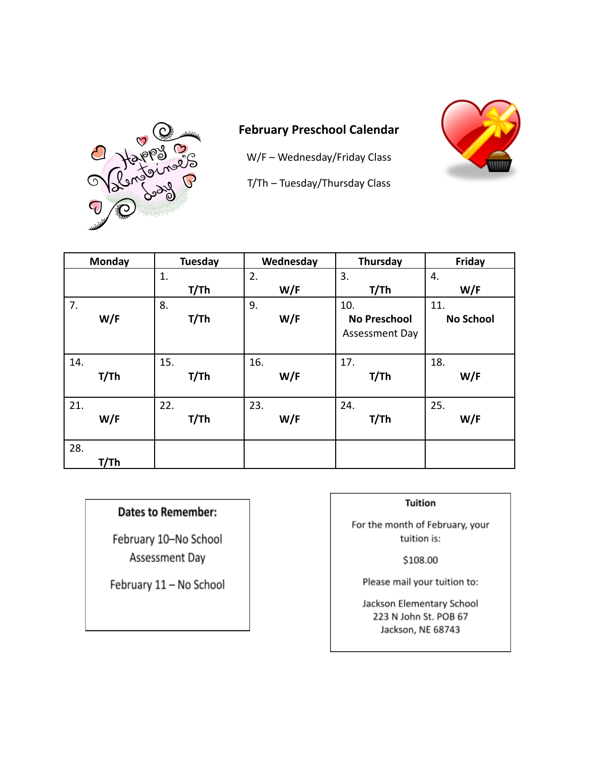

# **February Preschool Calendar**

W/F – Wednesday/Friday Class



T/Th – Tuesday/Thursday Class

| Monday      | <b>Tuesday</b> | Wednesday | Thursday                                     | Friday                  |
|-------------|----------------|-----------|----------------------------------------------|-------------------------|
|             | 1.             | 2.        | 3.                                           | 4.                      |
|             | T/Th           | W/F       | T/Th                                         | W/F                     |
| 7.<br>W/F   | 8.<br>T/Th     | 9.<br>W/F | 10.<br><b>No Preschool</b><br>Assessment Day | 11.<br><b>No School</b> |
| 14.         | 15.            | 16.       | 17.                                          | 18.                     |
| T/Th        | T/Th           | W/F       | T/Th                                         | W/F                     |
| 21.         | 22.            | 23.       | 24.                                          | 25.                     |
| W/F         | T/Th           | W/F       | T/Th                                         | W/F                     |
| 28.<br>T/Th |                |           |                                              |                         |

## **Dates to Remember:**

February 10-No School Assessment Day

February 11 - No School

#### **Tuition**

For the month of February, your tuition is:

\$108.00

Please mail your tuition to: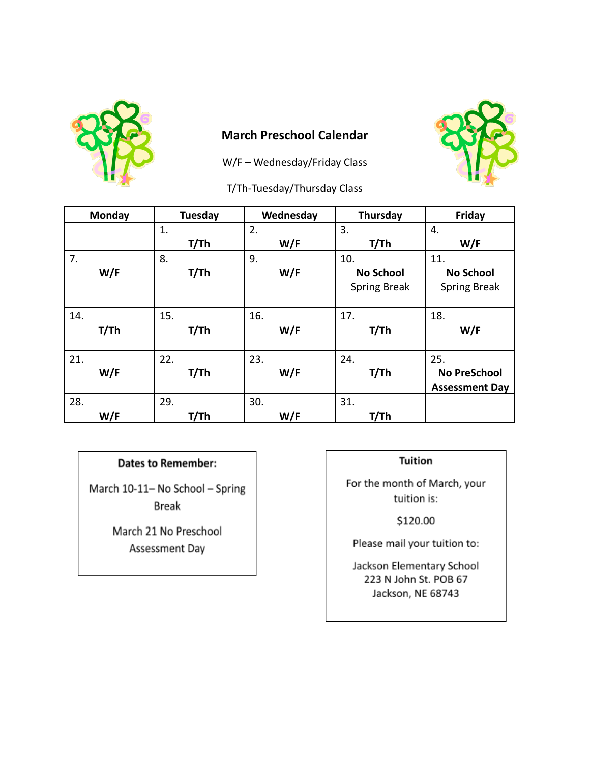

## **March Preschool Calendar**

W/F - Wednesday/Friday Class



## **Dates to Remember:**

March 10-11- No School - Spring **Break** 

> March 21 No Preschool Assessment Day

## **Tuition**

For the month of March, your tuition is:

\$120.00

Please mail your tuition to: